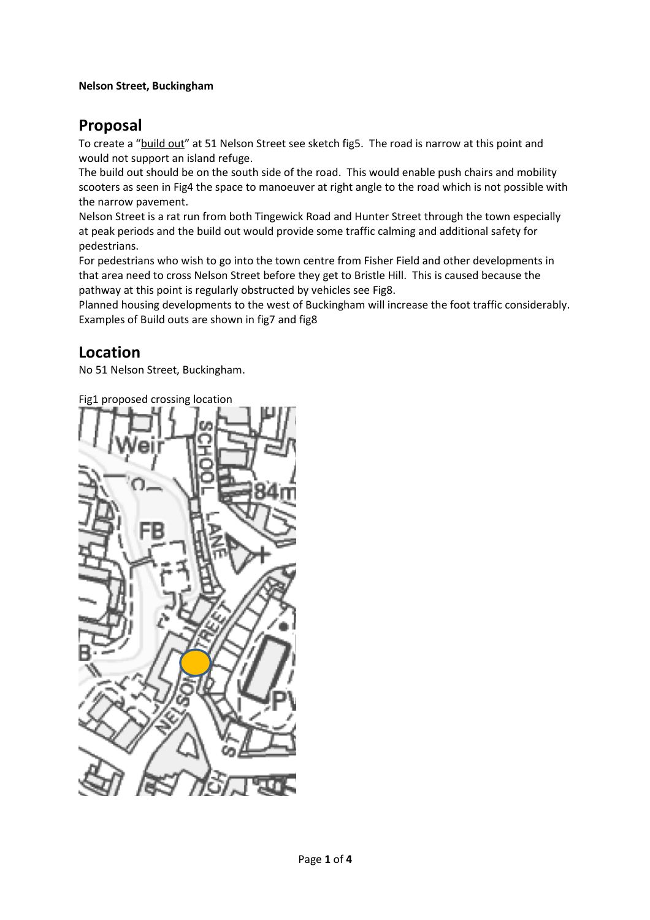#### **Nelson Street, Buckingham**

## **Proposal**

To create a "build out" at 51 Nelson Street see sketch fig5. The road is narrow at this point and would not support an island refuge.

The build out should be on the south side of the road. This would enable push chairs and mobility scooters as seen in Fig4 the space to manoeuver at right angle to the road which is not possible with the narrow pavement.

Nelson Street is a rat run from both Tingewick Road and Hunter Street through the town especially at peak periods and the build out would provide some traffic calming and additional safety for pedestrians.

For pedestrians who wish to go into the town centre from Fisher Field and other developments in that area need to cross Nelson Street before they get to Bristle Hill. This is caused because the pathway at this point is regularly obstructed by vehicles see Fig8.

Planned housing developments to the west of Buckingham will increase the foot traffic considerably. Examples of Build outs are shown in fig7 and fig8

## **Location**

No 51 Nelson Street, Buckingham.

Fig1 proposed crossing location

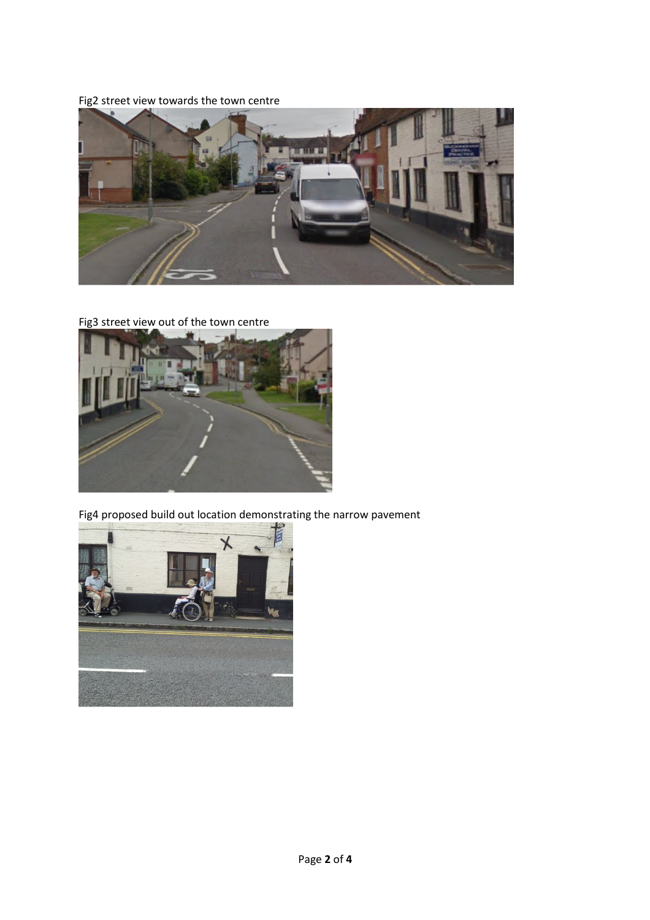Fig2 street view towards the town centre



### Fig3 street view out of the town centre



Fig4 proposed build out location demonstrating the narrow pavement

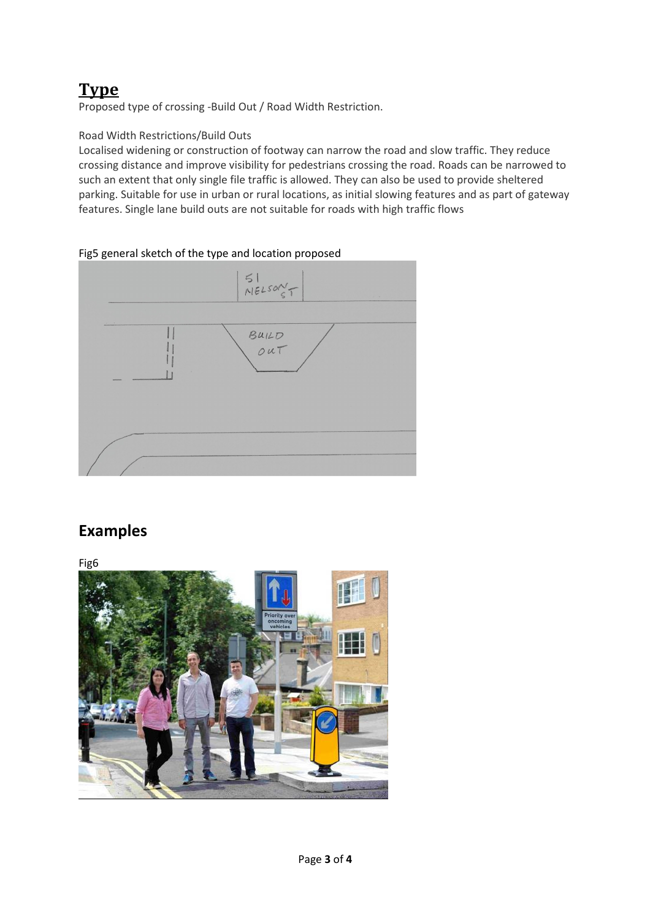# **Type**

Proposed type of crossing -Build Out / Road Width Restriction.

### Road Width Restrictions/Build Outs

Localised widening or construction of footway can narrow the road and slow traffic. They reduce crossing distance and improve visibility for pedestrians crossing the road. Roads can be narrowed to such an extent that only single file traffic is allowed. They can also be used to provide sheltered parking. Suitable for use in urban or rural locations, as initial slowing features and as part of gateway features. Single lane build outs are not suitable for roads with high traffic flows

### Fig5 general sketch of the type and location proposed



## **Examples**

Fig6